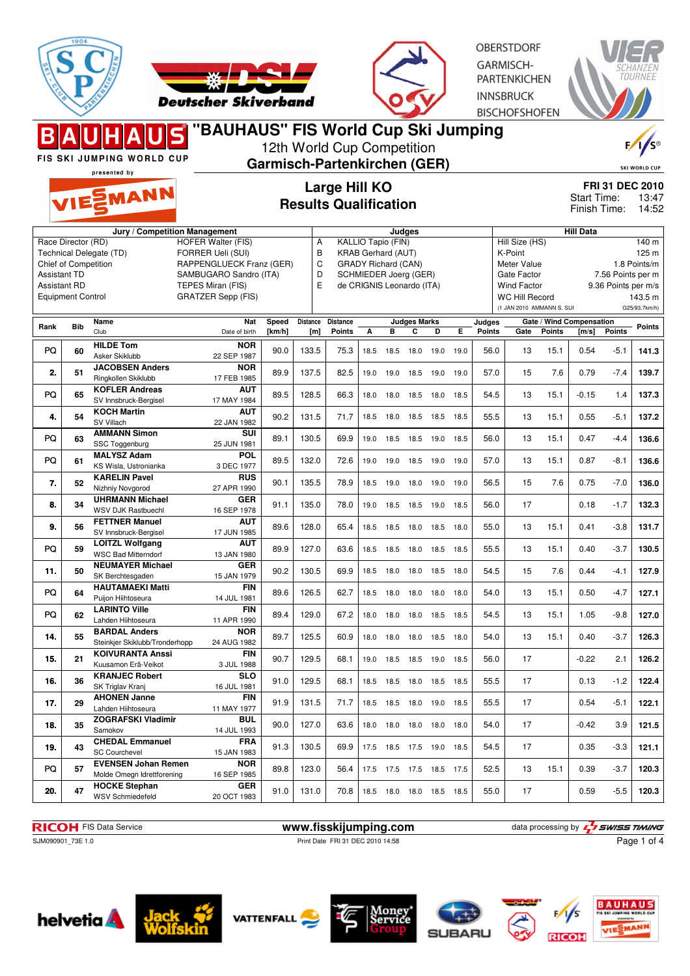



**OBERSTDORF** GARMISCH-**PARTENKICHEN INNSBRUCK BISCHOFSHOFEN** 



FIS SKI JUMPING WORLD CUP presented by

MANN

#### **Garmisch-Partenkirchen (GER) Large Hill KO Results Qualification**

12th World Cup Competition

SKI WORLD CUP **FRI 31 DEC 2010**

13:47 Finish Time: 14:52 Start Time:

|                     |                             | Jury / Competition Management               |                             |            |                 |                                                                 |      | Judges                    |                     |           |      | <b>Hill Data</b>        |                                                                                |                                    |         |               |              |  |
|---------------------|-----------------------------|---------------------------------------------|-----------------------------|------------|-----------------|-----------------------------------------------------------------|------|---------------------------|---------------------|-----------|------|-------------------------|--------------------------------------------------------------------------------|------------------------------------|---------|---------------|--------------|--|
|                     | Race Director (RD)          |                                             | <b>HOFER Walter (FIS)</b>   |            | Α               |                                                                 |      | KALLIO Tapio (FIN)        |                     |           |      |                         | Hill Size (HS)<br>140 m                                                        |                                    |         |               |              |  |
|                     |                             | Technical Delegate (TD)                     | FORRER Ueli (SUI)           |            | B               |                                                                 |      | <b>KRAB Gerhard (AUT)</b> |                     |           |      |                         | K-Point                                                                        |                                    |         |               | 125 m        |  |
|                     | <b>Chief of Competition</b> |                                             | RAPPENGLUECK Franz (GER)    |            | C               |                                                                 |      |                           |                     |           |      |                         | Meter Value                                                                    |                                    |         |               | 1.8 Points/m |  |
| <b>Assistant TD</b> |                             |                                             | SAMBUGARO Sandro (ITA)      |            |                 | <b>GRADY Richard (CAN)</b><br>D<br><b>SCHMIEDER Joerg (GER)</b> |      |                           |                     |           |      |                         | Gate Factor<br>7.56 Points per m                                               |                                    |         |               |              |  |
| <b>Assistant RD</b> |                             |                                             | TEPES Miran (FIS)           |            | E               | de CRIGNIS Leonardo (ITA)                                       |      |                           |                     |           |      |                         | <b>Wind Factor</b><br>9.36 Points per m/s                                      |                                    |         |               |              |  |
|                     | <b>Equipment Control</b>    |                                             | <b>GRATZER Sepp (FIS)</b>   |            |                 |                                                                 |      |                           |                     |           |      |                         |                                                                                |                                    |         |               |              |  |
|                     |                             |                                             |                             |            |                 |                                                                 |      |                           |                     |           |      |                         | <b>WC Hill Record</b><br>143.5 m<br>(1 JAN 2010 AMMANN S. SUI<br>G25/93.7km/h) |                                    |         |               |              |  |
|                     |                             |                                             |                             |            |                 |                                                                 |      |                           |                     |           |      |                         |                                                                                |                                    |         |               |              |  |
| Rank                | <b>Bib</b>                  | Name<br>Club                                | <b>Nat</b><br>Date of birth | Speed      | <b>Distance</b> | <b>Distance</b>                                                 |      | в                         | <b>Judges Marks</b> | D         | Е    | Judges<br><b>Points</b> | Gate                                                                           | Gate / Wind Compensation<br>Points |         | <b>Points</b> | Points       |  |
|                     |                             |                                             |                             | [ $km/h$ ] | [m]             | <b>Points</b>                                                   | А    |                           | С                   |           |      |                         |                                                                                |                                    | [m/s]   |               |              |  |
| PQ                  | 60                          | <b>HILDE Tom</b>                            | <b>NOR</b>                  | 90.0       | 133.5           | 75.3                                                            | 18.5 | 18.5                      | 18.0                | 19.0      | 19.0 | 56.0                    | 13                                                                             | 15.1                               | 0.54    | $-5.1$        | 141.3        |  |
|                     |                             | Asker Skiklubb                              | 22 SEP 1987                 |            |                 |                                                                 |      |                           |                     |           |      |                         |                                                                                |                                    |         |               |              |  |
| 2.                  | 51                          | <b>JACOBSEN Anders</b>                      | <b>NOR</b>                  | 89.9       | 137.5           | 82.5                                                            | 19.0 | 19.0                      | 18.5                | 19.0      | 19.0 | 57.0                    | 15                                                                             | 7.6                                | 0.79    | $-7.4$        | 139.7        |  |
|                     |                             | Ringkollen Skiklubb                         | 17 FEB 1985                 |            |                 |                                                                 |      |                           |                     |           |      |                         |                                                                                |                                    |         |               |              |  |
| PQ                  | 65                          | <b>KOFLER Andreas</b>                       | <b>AUT</b>                  | 89.5       | 128.5           | 66.3                                                            | 18.0 | 18.0                      | 18.5                | 18.0      | 18.5 | 54.5                    | 13                                                                             | 15.1                               | $-0.15$ | 1.4           | 137.3        |  |
|                     |                             | SV Innsbruck-Bergisel<br><b>KOCH Martin</b> | 17 MAY 1984<br><b>AUT</b>   |            |                 |                                                                 |      |                           |                     |           |      |                         |                                                                                |                                    |         |               |              |  |
| 4.                  | 54                          | SV Villach                                  | 22 JAN 1982                 | 90.2       | 131.5           | 71.7                                                            |      | 18.5 18.0                 | 18.5 18.5           |           | 18.5 | 55.5                    | 13                                                                             | 15.1                               | 0.55    | $-5.1$        | 137.2        |  |
|                     |                             | <b>AMMANN Simon</b>                         | SUI                         |            |                 |                                                                 |      |                           |                     |           |      |                         |                                                                                |                                    |         |               |              |  |
| PQ                  | 63                          | SSC Toggenburg                              | 25 JUN 1981                 | 89.1       | 130.5           | 69.9                                                            | 19.0 | 18.5                      | 18.5                | 19.0      | 18.5 | 56.0                    | 13                                                                             | 15.1                               | 0.47    | $-4.4$        | 136.6        |  |
|                     |                             | <b>MALYSZ Adam</b>                          | POL                         |            |                 |                                                                 |      |                           |                     |           |      |                         |                                                                                |                                    |         |               |              |  |
| PQ                  | 61                          | KS Wisla, Ustronianka                       | 3 DEC 1977                  | 89.5       | 132.0           | 72.6                                                            | 19.0 | 19.0                      | 18.5                | 19.0      | 19.0 | 57.0                    | 13                                                                             | 15.1                               | 0.87    | $-8.1$        | 136.6        |  |
|                     |                             | <b>KARELIN Pavel</b>                        | <b>RUS</b>                  |            |                 |                                                                 |      |                           |                     |           |      |                         |                                                                                |                                    |         |               |              |  |
| 7.                  | 52                          | Nizhniy Novgorod                            | 27 APR 1990                 | 90.1       | 135.5           | 78.9                                                            | 18.5 | 19.0                      | 18.0                | 19.0      | 19.0 | 56.5                    | 15                                                                             | 7.6                                | 0.75    | $-7.0$        | 136.0        |  |
|                     |                             | <b>UHRMANN Michael</b>                      | <b>GER</b>                  |            |                 |                                                                 |      |                           |                     |           |      |                         |                                                                                |                                    |         |               |              |  |
| 8.                  | 34                          | <b>WSV DJK Rastbuechl</b>                   | 16 SEP 1978                 | 91.1       | 135.0           | 78.0                                                            | 19.0 | 18.5                      | 18.5                | 19.0      | 18.5 | 56.0                    | 17                                                                             |                                    | 0.18    | $-1.7$        | 132.3        |  |
|                     |                             | <b>FETTNER Manuel</b>                       | <b>AUT</b>                  |            |                 |                                                                 |      |                           |                     |           |      |                         |                                                                                |                                    |         |               |              |  |
| 9.                  | 56                          | SV Innsbruck-Bergisel                       | 17 JUN 1985                 | 89.6       | 128.0           | 65.4                                                            | 18.5 | 18.5                      | 18.0 18.5           |           | 18.0 | 55.0                    | 13                                                                             | 15.1                               | 0.41    | $-3.8$        | 131.7        |  |
|                     |                             | <b>LOITZL Wolfgang</b>                      | <b>AUT</b>                  |            |                 |                                                                 |      |                           |                     |           |      |                         |                                                                                |                                    |         |               |              |  |
| PQ                  | 59                          | <b>WSC Bad Mitterndorf</b>                  | 13 JAN 1980                 | 89.9       | 127.0           | 63.6                                                            | 18.5 | 18.5                      | 18.0                | 18.5      | 18.5 | 55.5                    | 13                                                                             | 15.1                               | 0.40    | $-3.7$        | 130.5        |  |
| 11.                 | 50                          | <b>NEUMAYER Michael</b>                     | <b>GER</b>                  | 90.2       | 130.5           | 69.9                                                            | 18.5 | 18.0                      | 18.0                | 18.5      | 18.0 | 54.5                    | 15                                                                             | 7.6                                | 0.44    | $-4.1$        | 127.9        |  |
|                     |                             | SK Berchtesgaden                            | 15 JAN 1979                 |            |                 |                                                                 |      |                           |                     |           |      |                         |                                                                                |                                    |         |               |              |  |
| PQ                  | 64                          | <b>HAUTAMAEKI Matti</b>                     | <b>FIN</b>                  | 89.6       | 126.5           | 62.7                                                            | 18.5 | 18.0                      | 18.0                | 18.0      | 18.0 | 54.0                    | 13                                                                             | 15.1                               | 0.50    | $-4.7$        | 127.1        |  |
|                     |                             | Puijon Hiihtoseura                          | 14 JUL 1981                 |            |                 |                                                                 |      |                           |                     |           |      |                         |                                                                                |                                    |         |               |              |  |
| PQ                  | 62                          | <b>LARINTO Ville</b>                        | <b>FIN</b>                  | 89.4       | 129.0           | 67.2                                                            | 18.0 | 18.0                      | 18.0                | 18.5      | 18.5 | 54.5                    | 13                                                                             | 15.1                               | 1.05    | $-9.8$        | 127.0        |  |
|                     |                             | Lahden Hiihtoseura                          | 11 APR 1990                 |            |                 |                                                                 |      |                           |                     |           |      |                         |                                                                                |                                    |         |               |              |  |
| 14.                 | 55                          | <b>BARDAL Anders</b>                        | <b>NOR</b>                  | 89.7       | 125.5           | 60.9                                                            | 18.0 | 18.0                      |                     | 18.0 18.5 | 18.0 | 54.0                    | 13                                                                             | 15.1                               | 0.40    | $-3.7$        | 126.3        |  |
|                     |                             | Steinkjer Skiklubb/Tronderhopp              | 24 AUG 1982                 |            |                 |                                                                 |      |                           |                     |           |      |                         |                                                                                |                                    |         |               |              |  |
| 15.                 | 21                          | <b>KOIVURANTA Anssi</b>                     | <b>FIN</b>                  | 90.7       | 129.5           | 68.1                                                            | 19.0 | 18.5                      | 18.5 19.0           |           | 18.5 | 56.0                    | 17                                                                             |                                    | $-0.22$ | 2.1           | 126.2        |  |
|                     |                             | Kuusamon Erä-Veikot                         | 3 JUL 1988                  |            |                 |                                                                 |      |                           |                     |           |      |                         |                                                                                |                                    |         |               |              |  |
| 16.                 | 36                          | <b>KRANJEC Robert</b>                       | <b>SLO</b><br>16 JUL 1981   | 91.0       | 129.5           | 68.1                                                            | 18.5 | 18.5                      | 18.0                | 18.5      | 18.5 | 55.5                    | 17                                                                             |                                    | 0.13    | $-1.2$        | 122.4        |  |
|                     |                             | SK Triglav Kranj<br><b>AHONEN Janne</b>     | <b>FIN</b>                  |            |                 |                                                                 |      |                           |                     |           |      |                         |                                                                                |                                    |         |               |              |  |
| 17.                 | 29                          | Lahden Hiihtoseura                          | 11 MAY 1977                 | 91.9       | 131.5           | 71.7                                                            | 18.5 | 18.5                      | 18.0                | 19.0      | 18.5 | 55.5                    | 17                                                                             |                                    | 0.54    | $-5.1$        | 122.1        |  |
|                     |                             | <b>ZOGRAFSKI Vladimir</b>                   | <b>BUL</b>                  |            |                 |                                                                 |      |                           |                     |           |      |                         |                                                                                |                                    |         |               |              |  |
| 18.                 | 35                          | Samokov                                     | 14 JUL 1993                 | 90.0       | 127.0           | 63.6                                                            | 18.0 | 18.0                      | 18.0                | 18.0      | 18.0 | 54.0                    | 17                                                                             |                                    | $-0.42$ | 3.9           | 121.5        |  |
|                     |                             | <b>CHEDAL Emmanuel</b>                      | <b>FRA</b>                  |            |                 |                                                                 |      |                           |                     |           |      |                         |                                                                                |                                    |         |               |              |  |
| 19.                 | 43                          | <b>SC Courchevel</b>                        | 15 JAN 1983                 | 91.3       | 130.5           | 69.9                                                            | 17.5 | 18.5                      | 17.5 19.0           |           | 18.5 | 54.5                    | 17                                                                             |                                    | 0.35    | $-3.3$        | 121.1        |  |
|                     |                             | <b>EVENSEN Johan Remen</b>                  | <b>NOR</b>                  |            |                 |                                                                 |      |                           |                     |           |      |                         |                                                                                |                                    |         |               |              |  |
| PQ                  | 57                          | Molde Omegn Idrettforening                  | 16 SEP 1985                 | 89.8       | 123.0           | 56.4                                                            |      | 17.5 17.5                 | 17.5 18.5           |           | 17.5 | 52.5                    | 13                                                                             | 15.1                               | 0.39    | $-3.7$        | 120.3        |  |
|                     |                             | <b>HOCKE Stephan</b>                        | <b>GER</b>                  |            |                 |                                                                 |      |                           |                     |           |      |                         |                                                                                |                                    |         |               |              |  |
| 20.                 | 47                          | <b>WSV Schmiedefeld</b>                     | 20 OCT 1983                 | 91.0       | 131.0           | 70.8                                                            |      | 18.5 18.0                 | 18.0 18.5 18.5      |           |      | 55.0                    | 17                                                                             |                                    | 0.59    | $-5.5$        | 120.3        |  |
|                     |                             |                                             |                             |            |                 |                                                                 |      |                           |                     |           |      |                         |                                                                                |                                    |         |               |              |  |

**RICOH** FIS Data Service **www.fisskijumping.com** data processing by  $\frac{7}{2}$  **swiss TIMING** Page 1 of 4

SJM090901\_73E 1.0 Print Date FRI 31 DEC 2010 14:58













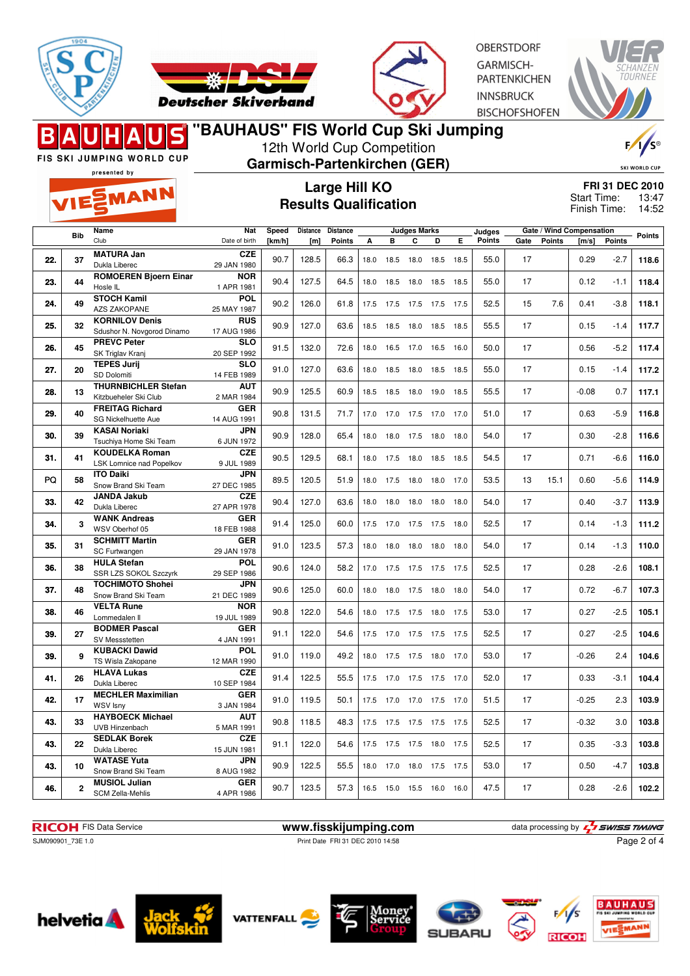



**OBERSTDORF** GARMISCH-**PARTENKICHEN INNSBRUCK BISCHOFSHOFEN** 



FIS SKI JUMPING WORLD CUP presented by

EMANN

# **"BAUHAUS" FIS World Cup Ski Jumping**

12th World Cup Competition

**Garmisch-Partenkirchen (GER)**

| R)                   |
|----------------------|
| <b>SKI WORLD CUP</b> |

# **Large Hill KO Results Qualification**

**FRI 31 DEC 2010** 13:47 Finish Time: 14:52 Start Time:

|     |              | Name                                            | Nat                      | Speed  | Distance | <b>Distance</b> |      |                          | <b>Judges Marks</b> |           |      | Judges        |      |               | Gate / Wind Compensation |               |               |
|-----|--------------|-------------------------------------------------|--------------------------|--------|----------|-----------------|------|--------------------------|---------------------|-----------|------|---------------|------|---------------|--------------------------|---------------|---------------|
|     | <b>Bib</b>   | Club                                            | Date of birth            | [km/h] | [m]      | <b>Points</b>   | A    | в                        | C                   | D         | Е    | <b>Points</b> | Gate | <b>Points</b> | [m/s]                    | <b>Points</b> | <b>Points</b> |
|     |              | <b>MATURA Jan</b>                               | <b>CZE</b>               |        |          |                 |      |                          |                     |           |      |               |      |               |                          |               |               |
| 22. | 37           | Dukla Liberec                                   | 29 JAN 1980              | 90.7   | 128.5    | 66.3            | 18.0 | 18.5                     | 18.0                | 18.5      | 18.5 | 55.0          | 17   |               | 0.29                     | $-2.7$        | 118.6         |
|     |              | <b>ROMOEREN Bjoern Einar</b>                    | <b>NOR</b>               |        |          |                 |      |                          |                     |           |      |               |      |               |                          |               |               |
| 23. | 44           | Hosle IL                                        | 1 APR 1981               | 90.4   | 127.5    | 64.5            | 18.0 | 18.5                     | 18.0                | 18.5      | 18.5 | 55.0          | 17   |               | 0.12                     | $-1.1$        | 118.4         |
| 24. | 49           | <b>STOCH Kamil</b>                              | POL                      | 90.2   |          |                 |      |                          |                     |           |      |               | 15   |               |                          |               | 118.1         |
|     |              | <b>AZS ZAKOPANE</b>                             | 25 MAY 1987              |        | 126.0    | 61.8            |      | 17.5 17.5                | 17.5 17.5 17.5      |           |      | 52.5          |      | 7.6           | 0.41                     | $-3.8$        |               |
| 25. | 32           | <b>KORNILOV Denis</b>                           | <b>RUS</b>               | 90.9   | 127.0    | 63.6            |      | 18.5 18.5                | 18.0 18.5 18.5      |           |      | 55.5          | 17   |               | 0.15                     | $-1.4$        | 117.7         |
|     |              | Sdushor N. Novgorod Dinamo                      | 17 AUG 1986              |        |          |                 |      |                          |                     |           |      |               |      |               |                          |               |               |
| 26. | 45           | <b>PREVC Peter</b>                              | <b>SLO</b>               | 91.5   | 132.0    | 72.6            | 18.0 | 16.5                     | 17.0                | 16.5      | 16.0 | 50.0          | 17   |               | 0.56                     | $-5.2$        | 117.4         |
|     |              | SK Triglav Kranj                                | 20 SEP 1992              |        |          |                 |      |                          |                     |           |      |               |      |               |                          |               |               |
| 27. | 20           | <b>TEPES Jurij</b>                              | <b>SLO</b>               | 91.0   | 127.0    | 63.6            | 18.0 | 18.5                     | 18.0                | 18.5      | 18.5 | 55.0          | 17   |               | 0.15                     | $-1.4$        | 117.2         |
|     |              | SD Dolomiti                                     | 14 FEB 1989              |        |          |                 |      |                          |                     |           |      |               |      |               |                          |               |               |
| 28. | 13           | <b>THURNBICHLER Stefan</b>                      | <b>AUT</b>               | 90.9   | 125.5    | 60.9            | 18.5 | 18.5                     | 18.0                | 19.0      | 18.5 | 55.5          | 17   |               | $-0.08$                  | 0.7           | 117.1         |
|     |              | Kitzbueheler Ski Club<br><b>FREITAG Richard</b> | 2 MAR 1984<br><b>GER</b> |        |          |                 |      |                          |                     |           |      |               |      |               |                          |               |               |
| 29. | 40           | SG Nickelhuette Aue                             | 14 AUG 1991              | 90.8   | 131.5    | 71.7            | 17.0 | 17.0                     | 17.5 17.0           |           | 17.0 | 51.0          | 17   |               | 0.63                     | $-5.9$        | 116.8         |
|     |              | <b>KASAI Noriaki</b>                            | <b>JPN</b>               |        |          |                 |      |                          |                     |           |      |               |      |               |                          |               |               |
| 30. | 39           | Tsuchiya Home Ski Team                          | 6 JUN 1972               | 90.9   | 128.0    | 65.4            | 18.0 | 18.0                     | 17.5 18.0           |           | 18.0 | 54.0          | 17   |               | 0.30                     | $-2.8$        | 116.6         |
|     |              | <b>KOUDELKA Roman</b>                           | <b>CZE</b>               |        |          |                 |      |                          |                     |           |      |               |      |               |                          |               |               |
| 31. | 41           | LSK Lomnice nad Popelkov                        | 9 JUL 1989               | 90.5   | 129.5    | 68.1            | 18.0 | 17.5                     | 18.0 18.5 18.5      |           |      | 54.5          | 17   |               | 0.71                     | $-6.6$        | 116.0         |
| PQ  |              | <b>ITO Daiki</b>                                | <b>JPN</b>               | 89.5   | 120.5    | 51.9            |      |                          |                     |           |      |               | 13   | 15.1          | 0.60                     | $-5.6$        |               |
|     | 58           | Snow Brand Ski Team                             | 27 DEC 1985              |        |          |                 | 18.0 | 17.5                     | 18.0 18.0           |           | 17.0 | 53.5          |      |               |                          |               | 114.9         |
| 33. | 42           | <b>JANDA Jakub</b>                              | <b>CZE</b>               | 90.4   | 127.0    | 63.6            | 18.0 | 18.0                     | 18.0                | 18.0      | 18.0 | 54.0          | 17   |               | 0.40                     | $-3.7$        | 113.9         |
|     |              | Dukla Liberec                                   | 27 APR 1978              |        |          |                 |      |                          |                     |           |      |               |      |               |                          |               |               |
| 34. | 3            | <b>WANK Andreas</b>                             | <b>GER</b>               | 91.4   | 125.0    | 60.0            | 17.5 | 17.0                     | 17.5 17.5           |           | 18.0 | 52.5          | 17   |               | 0.14                     | $-1.3$        | 111.2         |
|     |              | WSV Oberhof 05                                  | 18 FEB 1988              |        |          |                 |      |                          |                     |           |      |               |      |               |                          |               |               |
| 35. | 31           | <b>SCHMITT Martin</b>                           | <b>GER</b>               | 91.0   | 123.5    | 57.3            | 18.0 | 18.0                     | 18.0 18.0 18.0      |           |      | 54.0          | 17   |               | 0.14                     | $-1.3$        | 110.0         |
|     |              | SC Furtwangen                                   | 29 JAN 1978              |        |          |                 |      |                          |                     |           |      |               |      |               |                          |               |               |
| 36. | 38           | <b>HULA Stefan</b><br>SSR LZS SOKOL Szczyrk     | POL<br>29 SEP 1986       | 90.6   | 124.0    | 58.2            |      | 17.0 17.5 17.5 17.5 17.5 |                     |           |      | 52.5          | 17   |               | 0.28                     | $-2.6$        | 108.1         |
|     |              | <b>TOCHIMOTO Shohei</b>                         | <b>JPN</b>               |        |          |                 |      |                          |                     |           |      |               |      |               |                          |               |               |
| 37. | 48           | Snow Brand Ski Team                             | 21 DEC 1989              | 90.6   | 125.0    | 60.0            | 18.0 | 18.0                     | 17.5 18.0           |           | 18.0 | 54.0          | 17   |               | 0.72                     | $-6.7$        | 107.3         |
|     |              | <b>VELTA Rune</b>                               | <b>NOR</b>               |        |          |                 |      |                          |                     |           |      |               |      |               |                          |               |               |
| 38. | 46           | Lommedalen II                                   | 19 JUL 1989              | 90.8   | 122.0    | 54.6            | 18.0 | 17.5                     | 17.5 18.0           |           | 17.5 | 53.0          | 17   |               | 0.27                     | $-2.5$        | 105.1         |
|     |              | <b>BODMER Pascal</b>                            | <b>GER</b>               |        |          |                 |      |                          |                     |           |      |               |      |               |                          |               |               |
| 39. | 27           | SV Messstetten                                  | 4 JAN 1991               | 91.1   | 122.0    | 54.6            | 17.5 | 17.0                     | 17.5 17.5 17.5      |           |      | 52.5          | 17   |               | 0.27                     | $-2.5$        | 104.6         |
| 39. | 9            | <b>KUBACKI Dawid</b>                            | POL                      | 91.0   | 119.0    | 49.2            | 18.0 | 17.5                     | 17.5 18.0 17.0      |           |      | 53.0          | 17   |               | $-0.26$                  | 2.4           | 104.6         |
|     |              | TS Wisla Zakopane                               | 12 MAR 1990              |        |          |                 |      |                          |                     |           |      |               |      |               |                          |               |               |
| 41. | 26           | <b>HLAVA Lukas</b>                              | <b>CZE</b>               | 91.4   | 122.5    | 55.5            |      | 17.5 17.0 17.5 17.5 17.0 |                     |           |      | 52.0          | 17   |               | 0.33                     | $-3.1$        | 104.4         |
|     |              | Dukla Liberec                                   | 10 SEP 1984              |        |          |                 |      |                          |                     |           |      |               |      |               |                          |               |               |
| 42. | 17           | <b>MECHLER Maximilian</b>                       | <b>GER</b>               | 91.0   | 119.5    | 50.1            |      | 17.5 17.0 17.0 17.5 17.0 |                     |           |      | 51.5          | 17   |               | $-0.25$                  | 2.3           | 103.9         |
|     |              | <b>WSV Isny</b><br><b>HAYBOECK Michael</b>      | 3 JAN 1984               |        |          |                 |      |                          |                     |           |      |               |      |               |                          |               |               |
| 43. | 33           | <b>UVB Hinzenbach</b>                           | <b>AUT</b><br>5 MAR 1991 | 90.8   | 118.5    | 48.3            | 17.5 | 17.5                     | 17.5 17.5 17.5      |           |      | 52.5          | 17   |               | $-0.32$                  | 3.0           | 103.8         |
|     |              | <b>SEDLAK Borek</b>                             | <b>CZE</b>               |        |          |                 |      |                          |                     |           |      |               |      |               |                          |               |               |
| 43. | 22           | Dukla Liberec                                   | 15 JUN 1981              | 91.1   | 122.0    | 54.6            | 17.5 | 17.5                     | 17.5 18.0           |           | 17.5 | 52.5          | 17   |               | 0.35                     | $-3.3$        | 103.8         |
|     |              | <b>WATASE Yuta</b>                              | <b>JPN</b>               |        |          |                 |      |                          |                     |           |      |               |      |               |                          |               |               |
| 43. | 10           | Snow Brand Ski Team                             | 8 AUG 1982               | 90.9   | 122.5    | 55.5            | 18.0 | 17.0                     |                     | 18.0 17.5 | 17.5 | 53.0          | 17   |               | 0.50                     | $-4.7$        | 103.8         |
|     |              | <b>MUSIOL Julian</b>                            | <b>GER</b>               |        |          |                 |      |                          |                     |           |      |               |      |               |                          |               |               |
| 46. | $\mathbf{2}$ | <b>SCM Zella-Mehlis</b>                         | 4 APR 1986               | 90.7   | 123.5    | 57.3            |      | 16.5 15.0 15.5 16.0      |                     |           | 16.0 | 47.5          | 17   |               | 0.28                     | $-2.6$        | 102.2         |
|     |              |                                                 |                          |        |          |                 |      |                          |                     |           |      |               |      |               |                          |               |               |

**RICOH** FIS Data Service **www.fisskijumping.com** data processing by  $\frac{7}{2}$  SWISS TIMING

Page 2 of 4

SJM090901\_73E 1.0 Print Date FRI 31 DEC 2010 14:58













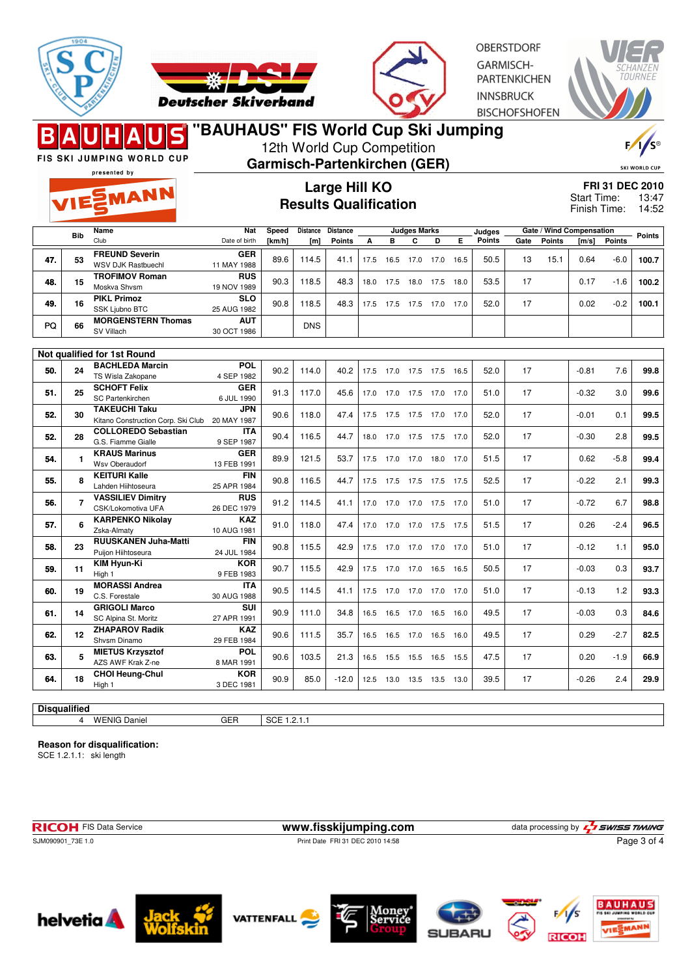



**OBERSTDORF** GARMISCH-**PARTENKICHEN INNSBRUCK BISCHOFSHOFEN** 



FIS SKI JUMPING WORLD CUP presented by

EMANN

# **"BAUHAUS" FIS World Cup Ski Jumping**

12th World Cup Competition

**Garmisch-Partenkirchen (GER)**

| <b>SKI WORLD CUP</b> |  |
|----------------------|--|
|                      |  |

#### **Large Hill KO Results Qualification**

| <b>FRI 31 DEC 2010</b> |       |
|------------------------|-------|
| Start Time:            | 13:47 |
| Finish Time:           | 14:52 |

|     | <b>Bib</b> | Name                               | <b>Nat</b>    | Speed  | <b>Distance</b> | <b>Distance</b> |      |      | <b>Judges Marks</b>         |      |      | Judges        | Gate / Wind Compensation |               |         | <b>Points</b> |       |
|-----|------------|------------------------------------|---------------|--------|-----------------|-----------------|------|------|-----------------------------|------|------|---------------|--------------------------|---------------|---------|---------------|-------|
|     |            | Club                               | Date of birth | [km/h] | [m]             | <b>Points</b>   | A    | в    | C                           | D    | Е    | <b>Points</b> | Gate                     | <b>Points</b> | [m/s]   | <b>Points</b> |       |
|     |            | <b>FREUND Severin</b>              | <b>GER</b>    |        |                 |                 |      |      |                             |      |      |               |                          |               |         |               |       |
| 47. | 53         | <b>WSV DJK Rastbuechl</b>          | 11 MAY 1988   | 89.6   | 114.5           | 41.1            | 17.5 | 16.5 | 17.0                        | 17.0 | 16.5 | 50.5          | 13                       | 15.1          | 0.64    | $-6.0$        | 100.7 |
|     |            | <b>TROFIMOV Roman</b>              | <b>RUS</b>    |        |                 |                 |      |      |                             |      |      |               | 17                       |               |         |               |       |
| 48. | 15         | Moskva Shvsm                       | 19 NOV 1989   | 90.3   | 118.5           | 48.3            | 18.0 | 17.5 | 18.0                        | 17.5 | 18.0 | 53.5          |                          |               | 0.17    | $-1.6$        | 100.2 |
| 49. | 16         | <b>PIKL Primoz</b>                 | <b>SLO</b>    | 90.8   | 118.5           | 48.3            |      | 17.5 | 17.5                        | 17.0 | 17.0 | 52.0          | 17                       |               | 0.02    | $-0.2$        | 100.1 |
|     |            | SSK Ljubno BTC                     | 25 AUG 1982   |        |                 |                 | 17.5 |      |                             |      |      |               |                          |               |         |               |       |
| PQ  | 66         | <b>MORGENSTERN Thomas</b>          | <b>AUT</b>    |        | <b>DNS</b>      |                 |      |      |                             |      |      |               |                          |               |         |               |       |
|     |            | SV Villach                         | 30 OCT 1986   |        |                 |                 |      |      |                             |      |      |               |                          |               |         |               |       |
|     |            |                                    |               |        |                 |                 |      |      |                             |      |      |               |                          |               |         |               |       |
|     |            | Not qualified for 1st Round        |               |        |                 |                 |      |      |                             |      |      |               |                          |               |         |               |       |
| 50. | 24         | <b>BACHLEDA Marcin</b>             | <b>POL</b>    | 90.2   | 114.0           | 40.2            | 17.5 | 17.0 | 17.5                        | 17.5 | 16.5 | 52.0          | 17                       |               | $-0.81$ | 7.6           | 99.8  |
|     |            | TS Wisla Zakopane                  | 4 SEP 1982    |        |                 |                 |      |      |                             |      |      |               |                          |               |         |               |       |
| 51. | 25         | <b>SCHOFT Felix</b>                | <b>GER</b>    | 91.3   | 117.0           | 45.6            | 17.0 | 17.0 | 17.5                        | 17.0 | 17.0 | 51.0          | 17                       |               | $-0.32$ | 3.0           | 99.6  |
|     |            | <b>SC Partenkirchen</b>            | 6 JUL 1990    |        |                 |                 |      |      |                             |      |      |               |                          |               |         |               |       |
| 52. | 30         | <b>TAKEUCHI Taku</b>               | <b>JPN</b>    | 90.6   | 118.0           | 47.4            | 17.5 | 17.5 | 17.5                        | 17.0 | 17.0 | 52.0          | 17                       |               | $-0.01$ | 0.1           | 99.5  |
|     |            | Kitano Construction Corp. Ski Club | 20 MAY 1987   |        |                 |                 |      |      |                             |      |      |               |                          |               |         |               |       |
| 52. | 28         | <b>COLLOREDO Sebastian</b>         | <b>ITA</b>    | 90.4   | 116.5           | 44.7            | 18.0 | 17.0 | 17.5                        | 17.5 | 17.0 | 52.0          | 17                       |               | $-0.30$ | 2.8           | 99.5  |
|     |            | G.S. Fiamme Gialle                 | 9 SEP 1987    |        |                 |                 |      |      |                             |      |      |               |                          |               |         |               |       |
| 54. |            | <b>KRAUS Marinus</b>               | <b>GER</b>    | 89.9   | 121.5           | 53.7            | 17.5 | 17.0 | 17.0                        | 18.0 | 17.0 | 51.5          | 17                       |               | 0.62    | $-5.8$        | 99.4  |
|     |            | <b>Wsv Oberaudorf</b>              | 13 FEB 1991   |        |                 |                 |      |      |                             |      |      |               |                          |               |         |               |       |
| cc. | $\bullet$  | <b>KEITURI Kalle</b>               | <b>FIN</b>    | 000    | 11CE            | $AA =$          |      |      | $-47E$ $-47E$ $-47E$ $-47E$ |      |      | <b>EQE</b>    | 17                       |               | n nn    | $\Omega$ 1    | nn n  |

| 52. | 28                  | G.S. Fiamme Gialle          | 9 SEP 1987  | 90.4 | 116.5 | 44.7    | 18.0 | 17.0 | 17.5                | 17.5           | 17.0 | 52.0 | 17 | -0.30   | 2.8    | 99.5 |
|-----|---------------------|-----------------------------|-------------|------|-------|---------|------|------|---------------------|----------------|------|------|----|---------|--------|------|
| 54. |                     | <b>KRAUS Marinus</b>        | <b>GER</b>  | 89.9 | 121.5 | 53.7    | 17.5 | 17.0 | 17.0                | 18.0           | 17.0 | 51.5 | 17 | 0.62    | $-5.8$ | 99.4 |
|     |                     | Wsv Oberaudorf              | 13 FEB 1991 |      |       |         |      |      |                     |                |      |      |    |         |        |      |
| 55. |                     | <b>KEITURI Kalle</b>        | <b>FIN</b>  | 90.8 | 116.5 | 44.7    | 17.5 | 17.5 | 17.5                | 17.5 17.5      |      | 52.5 | 17 | $-0.22$ | 2.1    | 99.3 |
|     |                     | Lahden Hiihtoseura          | 25 APR 1984 |      |       |         |      |      |                     |                |      |      |    |         |        |      |
| 56. |                     | <b>VASSILIEV Dimitry</b>    | <b>RUS</b>  | 91.2 | 114.5 | 41.1    | 17.0 |      | 17.0 17.0 17.5      |                | 17.0 | 51.0 | 17 | $-0.72$ | 6.7    | 98.8 |
|     |                     | CSK/Lokomotiva UFA          | 26 DEC 1979 |      |       |         |      |      |                     |                |      |      |    |         |        |      |
| 57. | ี                   | <b>KARPENKO Nikolay</b>     | <b>KAZ</b>  | 91.0 | 118.0 | 47.4    | 17.0 |      | 17.0 17.0 17.5 17.5 |                |      | 51.5 | 17 | 0.26    | $-2.4$ | 96.5 |
|     |                     | Zska-Almatv                 | 10 AUG 1981 |      |       |         |      |      |                     |                |      |      |    |         |        |      |
| 58. | 23                  | <b>RUUSKANEN Juha-Matti</b> | <b>FIN</b>  | 90.8 | 115.5 | 42.9    | 17.5 | 17.0 | 17.0 17.0           |                | 17.0 | 51.0 | 17 | $-0.12$ | 1.1    | 95.0 |
|     |                     | Puijon Hiihtoseura          | 24 JUL 1984 |      |       |         |      |      |                     |                |      |      |    |         |        |      |
| 59. | 11                  | <b>KIM Hyun-Ki</b>          | <b>KOR</b>  | 90.7 | 115.5 | 42.9    | 17.5 | 17.0 | 17.0                | 16.5 16.5      |      | 50.5 | 17 | $-0.03$ | 0.3    | 93.7 |
|     |                     | High 1                      | 9 FEB 1983  |      |       |         |      |      |                     |                |      |      |    |         |        |      |
| 60. | 19                  | <b>MORASSI Andrea</b>       | <b>ITA</b>  | 90.5 | 114.5 | 41.1    | 17.5 | 17.0 |                     | 17.0 17.0      | 17.0 | 51.0 | 17 | $-0.13$ | 1.2    | 93.3 |
|     |                     | C.S. Forestale              | 30 AUG 1988 |      |       |         |      |      |                     |                |      |      |    |         |        |      |
| 61. | 14                  | <b>GRIGOLI Marco</b>        | <b>SUI</b>  | 90.9 | 111.0 | 34.8    | 16.5 | 16.5 |                     | 17.0 16.5 16.0 |      | 49.5 | 17 | $-0.03$ | 0.3    | 84.6 |
|     |                     | SC Alpina St. Moritz        | 27 APR 1991 |      |       |         |      |      |                     |                |      |      |    |         |        |      |
| 62. | 12                  | <b>ZHAPAROV Radik</b>       | <b>KAZ</b>  | 90.6 | 111.5 | 35.7    | 16.5 | 16.5 | 17.0                | 16.5           | 16.0 | 49.5 | 17 | 0.29    | $-2.7$ | 82.5 |
|     |                     | Shysm Dinamo                | 29 FEB 1984 |      |       |         |      |      |                     |                |      |      |    |         |        |      |
| 63. |                     | <b>MIETUS Krzysztof</b>     | <b>POL</b>  | 90.6 | 103.5 | 21.3    | 16.5 | 15.5 | 15.5                | 16.5           |      | 47.5 | 17 | 0.20    | $-1.9$ | 66.9 |
|     |                     | AZS AWF Krak Z-ne           | 8 MAR 1991  |      |       |         |      |      |                     |                | 15.5 |      |    |         |        |      |
| 64. | 18                  | <b>CHOI Heung-Chul</b>      | <b>KOR</b>  | 90.9 | 85.0  | $-12.0$ | 12.5 | 13.0 | 13.5                | 13.5           | 13.0 | 39.5 | 17 | $-0.26$ | 2.4    |      |
|     |                     | High 1                      | 3 DEC 1981  |      |       |         |      |      |                     |                |      |      |    |         |        | 29.9 |
|     |                     |                             |             |      |       |         |      |      |                     |                |      |      |    |         |        |      |
|     | <b>Disqualified</b> |                             |             |      |       |         |      |      |                     |                |      |      |    |         |        |      |
|     |                     |                             |             |      |       |         |      |      |                     |                |      |      |    |         |        |      |

#### **Reason for disqualification:**

SCE 1.2.1.1: ski length

**RICOH** FIS Data Service **www.fisskijumping.com** data processing by  $\frac{7}{2}$  **SWISS TIMING** SJM090901\_73E 1.0 Print Date FRI 31 DEC 2010 14:58 Page 3 of 4





4 WENIG Daniel GER SCE 1.2.1.1